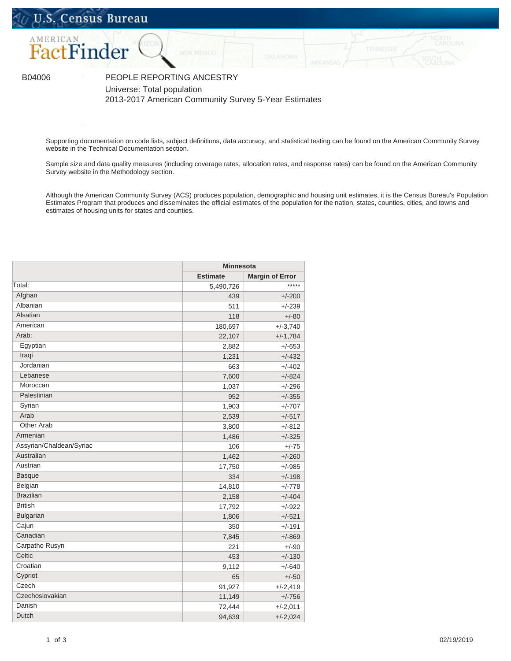## U.S. Census Bureau



B04006 | PEOPLE REPORTING ANCESTRY Universe: Total population

2013-2017 American Community Survey 5-Year Estimates

Supporting documentation on code lists, subject definitions, data accuracy, and statistical testing can be found on the American Community Survey website in the [Technical Documentation](https://www.census.gov/programs-surveys/acs/technical-documentation/code-lists.html) section.

Sample size and data quality measures (including coverage rates, allocation rates, and response rates) can be found on the American Community Survey website in the [Methodology](https://www.census.gov/acs/www/methodology/sample_size_and_data_quality/) section.

Although the American Community Survey (ACS) produces population, demographic and housing unit estimates, it is the Census Bureau's Population Estimates Program that produces and disseminates the official estimates of the population for the nation, states, counties, cities, and towns and estimates of housing units for states and counties.

| <b>Estimate</b><br><b>Margin of Error</b><br>*****<br>5,490,726<br>Afghan<br>$+/-200$<br>439<br>Albanian<br>511<br>$+/-239$<br>Alsatian<br>118<br>$+/-80$<br>American<br>180,697<br>$+/-3,740$<br>Arab:<br>22,107<br>$+/-1,784$<br>Egyptian<br>$+/-653$<br>2,882<br>Iraqi<br>$+/-432$<br>1,231<br>Jordanian<br>$+/-402$<br>663<br>Lebanese<br>$+/-824$<br>7,600<br>Moroccan<br>$+/-296$<br>1,037<br>Palestinian<br>952<br>$+/-355$<br>Syrian<br>1,903<br>$+/-707$<br>Arab<br>2,539<br>$+/-517$<br>Other Arab<br>$+/-812$<br>3,800<br>Armenian<br>$+/-325$<br>1,486<br>Assyrian/Chaldean/Syriac<br>106<br>$+/-75$<br>Australian<br>1,462<br>$+/-260$<br>Austrian<br>17,750<br>$+/-985$<br><b>Basque</b><br>$+/-198$<br>334<br>Belgian<br>$+/-778$<br>14,810<br><b>Brazilian</b><br>2,158<br>$+/-404$<br><b>British</b><br>$+/-922$<br>17,792<br><b>Bulgarian</b><br>$+/-521$<br>1,806<br>Cajun<br>350<br>$+/-191$<br>Canadian<br>7,845<br>$+/-869$<br>Carpatho Rusyn<br>221<br>$+/-90$<br>Celtic<br>$+/-130$<br>453<br>Croatian<br>9,112<br>$+/-640$<br>Cypriot<br>65<br>$+/-50$<br>Czech<br>91,927<br>$+/-2,419$<br>Czechoslovakian<br>$+/-756$<br>11,149<br>Danish<br>72,444<br>$+/-2,011$<br>Dutch<br>94,639<br>$+/-2,024$ |        | <b>Minnesota</b> |  |
|------------------------------------------------------------------------------------------------------------------------------------------------------------------------------------------------------------------------------------------------------------------------------------------------------------------------------------------------------------------------------------------------------------------------------------------------------------------------------------------------------------------------------------------------------------------------------------------------------------------------------------------------------------------------------------------------------------------------------------------------------------------------------------------------------------------------------------------------------------------------------------------------------------------------------------------------------------------------------------------------------------------------------------------------------------------------------------------------------------------------------------------------------------------------------------------------------------------------------|--------|------------------|--|
|                                                                                                                                                                                                                                                                                                                                                                                                                                                                                                                                                                                                                                                                                                                                                                                                                                                                                                                                                                                                                                                                                                                                                                                                                              |        |                  |  |
|                                                                                                                                                                                                                                                                                                                                                                                                                                                                                                                                                                                                                                                                                                                                                                                                                                                                                                                                                                                                                                                                                                                                                                                                                              | Total: |                  |  |
|                                                                                                                                                                                                                                                                                                                                                                                                                                                                                                                                                                                                                                                                                                                                                                                                                                                                                                                                                                                                                                                                                                                                                                                                                              |        |                  |  |
|                                                                                                                                                                                                                                                                                                                                                                                                                                                                                                                                                                                                                                                                                                                                                                                                                                                                                                                                                                                                                                                                                                                                                                                                                              |        |                  |  |
|                                                                                                                                                                                                                                                                                                                                                                                                                                                                                                                                                                                                                                                                                                                                                                                                                                                                                                                                                                                                                                                                                                                                                                                                                              |        |                  |  |
|                                                                                                                                                                                                                                                                                                                                                                                                                                                                                                                                                                                                                                                                                                                                                                                                                                                                                                                                                                                                                                                                                                                                                                                                                              |        |                  |  |
|                                                                                                                                                                                                                                                                                                                                                                                                                                                                                                                                                                                                                                                                                                                                                                                                                                                                                                                                                                                                                                                                                                                                                                                                                              |        |                  |  |
|                                                                                                                                                                                                                                                                                                                                                                                                                                                                                                                                                                                                                                                                                                                                                                                                                                                                                                                                                                                                                                                                                                                                                                                                                              |        |                  |  |
|                                                                                                                                                                                                                                                                                                                                                                                                                                                                                                                                                                                                                                                                                                                                                                                                                                                                                                                                                                                                                                                                                                                                                                                                                              |        |                  |  |
|                                                                                                                                                                                                                                                                                                                                                                                                                                                                                                                                                                                                                                                                                                                                                                                                                                                                                                                                                                                                                                                                                                                                                                                                                              |        |                  |  |
|                                                                                                                                                                                                                                                                                                                                                                                                                                                                                                                                                                                                                                                                                                                                                                                                                                                                                                                                                                                                                                                                                                                                                                                                                              |        |                  |  |
|                                                                                                                                                                                                                                                                                                                                                                                                                                                                                                                                                                                                                                                                                                                                                                                                                                                                                                                                                                                                                                                                                                                                                                                                                              |        |                  |  |
|                                                                                                                                                                                                                                                                                                                                                                                                                                                                                                                                                                                                                                                                                                                                                                                                                                                                                                                                                                                                                                                                                                                                                                                                                              |        |                  |  |
|                                                                                                                                                                                                                                                                                                                                                                                                                                                                                                                                                                                                                                                                                                                                                                                                                                                                                                                                                                                                                                                                                                                                                                                                                              |        |                  |  |
|                                                                                                                                                                                                                                                                                                                                                                                                                                                                                                                                                                                                                                                                                                                                                                                                                                                                                                                                                                                                                                                                                                                                                                                                                              |        |                  |  |
|                                                                                                                                                                                                                                                                                                                                                                                                                                                                                                                                                                                                                                                                                                                                                                                                                                                                                                                                                                                                                                                                                                                                                                                                                              |        |                  |  |
|                                                                                                                                                                                                                                                                                                                                                                                                                                                                                                                                                                                                                                                                                                                                                                                                                                                                                                                                                                                                                                                                                                                                                                                                                              |        |                  |  |
|                                                                                                                                                                                                                                                                                                                                                                                                                                                                                                                                                                                                                                                                                                                                                                                                                                                                                                                                                                                                                                                                                                                                                                                                                              |        |                  |  |
|                                                                                                                                                                                                                                                                                                                                                                                                                                                                                                                                                                                                                                                                                                                                                                                                                                                                                                                                                                                                                                                                                                                                                                                                                              |        |                  |  |
|                                                                                                                                                                                                                                                                                                                                                                                                                                                                                                                                                                                                                                                                                                                                                                                                                                                                                                                                                                                                                                                                                                                                                                                                                              |        |                  |  |
|                                                                                                                                                                                                                                                                                                                                                                                                                                                                                                                                                                                                                                                                                                                                                                                                                                                                                                                                                                                                                                                                                                                                                                                                                              |        |                  |  |
|                                                                                                                                                                                                                                                                                                                                                                                                                                                                                                                                                                                                                                                                                                                                                                                                                                                                                                                                                                                                                                                                                                                                                                                                                              |        |                  |  |
|                                                                                                                                                                                                                                                                                                                                                                                                                                                                                                                                                                                                                                                                                                                                                                                                                                                                                                                                                                                                                                                                                                                                                                                                                              |        |                  |  |
|                                                                                                                                                                                                                                                                                                                                                                                                                                                                                                                                                                                                                                                                                                                                                                                                                                                                                                                                                                                                                                                                                                                                                                                                                              |        |                  |  |
|                                                                                                                                                                                                                                                                                                                                                                                                                                                                                                                                                                                                                                                                                                                                                                                                                                                                                                                                                                                                                                                                                                                                                                                                                              |        |                  |  |
|                                                                                                                                                                                                                                                                                                                                                                                                                                                                                                                                                                                                                                                                                                                                                                                                                                                                                                                                                                                                                                                                                                                                                                                                                              |        |                  |  |
|                                                                                                                                                                                                                                                                                                                                                                                                                                                                                                                                                                                                                                                                                                                                                                                                                                                                                                                                                                                                                                                                                                                                                                                                                              |        |                  |  |
|                                                                                                                                                                                                                                                                                                                                                                                                                                                                                                                                                                                                                                                                                                                                                                                                                                                                                                                                                                                                                                                                                                                                                                                                                              |        |                  |  |
|                                                                                                                                                                                                                                                                                                                                                                                                                                                                                                                                                                                                                                                                                                                                                                                                                                                                                                                                                                                                                                                                                                                                                                                                                              |        |                  |  |
|                                                                                                                                                                                                                                                                                                                                                                                                                                                                                                                                                                                                                                                                                                                                                                                                                                                                                                                                                                                                                                                                                                                                                                                                                              |        |                  |  |
|                                                                                                                                                                                                                                                                                                                                                                                                                                                                                                                                                                                                                                                                                                                                                                                                                                                                                                                                                                                                                                                                                                                                                                                                                              |        |                  |  |
|                                                                                                                                                                                                                                                                                                                                                                                                                                                                                                                                                                                                                                                                                                                                                                                                                                                                                                                                                                                                                                                                                                                                                                                                                              |        |                  |  |
|                                                                                                                                                                                                                                                                                                                                                                                                                                                                                                                                                                                                                                                                                                                                                                                                                                                                                                                                                                                                                                                                                                                                                                                                                              |        |                  |  |
|                                                                                                                                                                                                                                                                                                                                                                                                                                                                                                                                                                                                                                                                                                                                                                                                                                                                                                                                                                                                                                                                                                                                                                                                                              |        |                  |  |
|                                                                                                                                                                                                                                                                                                                                                                                                                                                                                                                                                                                                                                                                                                                                                                                                                                                                                                                                                                                                                                                                                                                                                                                                                              |        |                  |  |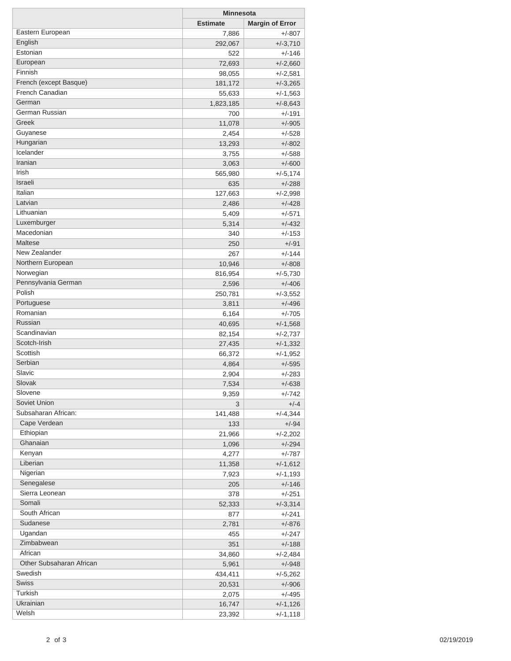|                               | <b>Minnesota</b> |                        |
|-------------------------------|------------------|------------------------|
|                               | <b>Estimate</b>  | <b>Margin of Error</b> |
| Eastern European              | 7,886            | $+/-807$               |
| English                       | 292,067          | $+/-3,710$             |
| Estonian                      | 522              | $+/-146$               |
| European                      | 72,693           | $+/-2,660$             |
| Finnish                       | 98,055           | $+/-2,581$             |
| French (except Basque)        | 181,172          | $+/-3,265$             |
| French Canadian               | 55,633           | $+/-1,563$             |
| German                        | 1,823,185        | $+/-8,643$             |
| German Russian                | 700              | $+/-191$               |
| Greek                         | 11,078           | $+/-905$               |
| Guyanese                      | 2,454            | $+/-528$               |
| Hungarian                     | 13,293           | $+/-802$               |
| Icelander                     | 3,755            | $+/-588$               |
| Iranian                       | 3,063            | $+/-600$               |
| Irish                         | 565,980          | $+/-5,174$             |
| Israeli                       | 635              | $+/-288$               |
| Italian                       | 127,663          | $+/-2,998$             |
| Latvian                       | 2,486            | $+/-428$               |
| Lithuanian                    | 5,409            | $+/-571$               |
| Luxemburger                   | 5,314            | $+/-432$               |
| Macedonian                    | 340              | $+/-153$               |
| Maltese                       | 250              | $+/-91$                |
| New Zealander                 |                  | $+/-144$               |
| Northern European             | 267              |                        |
| Norwegian                     | 10,946           | $+/-808$               |
|                               | 816,954          | $+/-5,730$             |
| Pennsylvania German<br>Polish | 2,596            | $+/-406$               |
|                               | 250,781          | $+/-3,552$             |
| Portuguese                    | 3,811            | $+/-496$               |
| Romanian<br>Russian           | 6,164            | $+/-705$               |
| Scandinavian                  | 40,695           | $+/-1,568$             |
| Scotch-Irish                  | 82,154           | $+/-2,737$             |
| Scottish                      | 27,435           | $+/-1,332$             |
|                               | 66,372           | $+/-1,952$             |
| Serbian                       | 4,864            | $+/-595$               |
| Slavic                        | 2,904            | $+/-283$               |
| Slovak                        | 7,534            | $+/-638$               |
| Slovene                       | 9,359            | $+/-742$               |
| Soviet Union                  | 3                | $+/-4$                 |
| Subsaharan African:           | 141,488          | $+/-4,344$             |
| Cape Verdean                  | 133              | $+/-94$                |
| Ethiopian                     | 21,966           | $+/-2,202$             |
| Ghanaian                      | 1,096            | $+/-294$               |
| Kenyan                        | 4,277            | $+/-787$               |
| Liberian                      | 11,358           | $+/-1,612$             |
| Nigerian                      | 7,923            | $+/-1,193$             |
| Senegalese                    | 205              | $+/-146$               |
| Sierra Leonean                | 378              | $+/-251$               |
| Somali                        | 52,333           | $+/-3,314$             |
| South African                 | 877              | $+/-241$               |
| Sudanese                      | 2,781            | $+/-876$               |
| Ugandan                       | 455              | $+/-247$               |
| Zimbabwean                    | 351              | $+/-188$               |
| African                       | 34,860           | $+/-2,484$             |
| Other Subsaharan African      | 5,961            | $+/-948$               |
| Swedish                       | 434,411          | $+/-5,262$             |
| <b>Swiss</b>                  | 20,531           | $+/-906$               |
| Turkish                       | 2,075            | $+/-495$               |
| Ukrainian                     | 16,747           | $+/-1,126$             |
| Welsh                         | 23,392           | $+/-1,118$             |